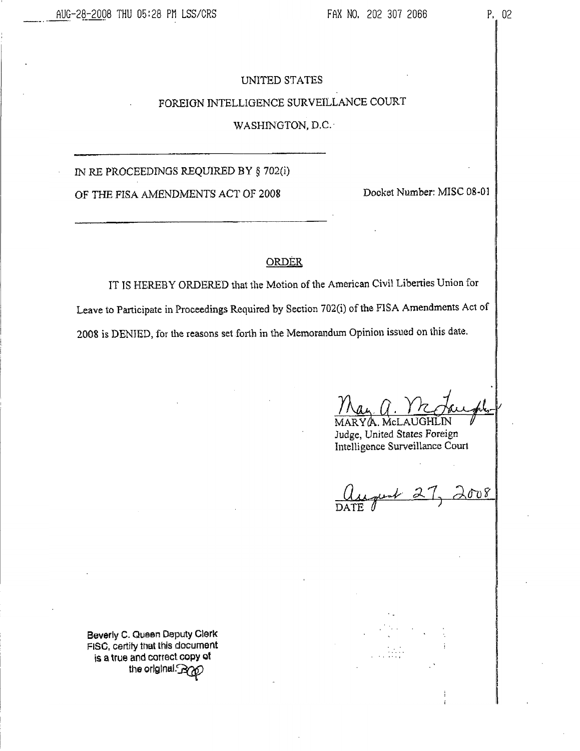# UNITED STATES

# FOREIGN INTELLIGENCE SURVEILLANCE COURT

# WASHINGTON, D.C.

IN RE PROCEEDINGS REQUIRED BY § 702(i)

OF THE FISA AMENDMENTS ACT OF 2008

Docket Number: MISC 08-01

### **ORDER**

IT IS HEREBY ORDERED that the Motion of the American Civil Liberties Union for Leave to Participate in Proceedings Required by Section 702(i) of the FISA Amendments Act of 2008 is DENIED, for the reasons set forth in the Memorandum Opinion issued on this date.

RYA McI AUGHUN Judge, United States Foreign Intelligence Surveillance Court

gust 2  $\lambda$ ov $\delta$ 

Beverly C. Queen Deputy Clerk FISC, certify that this document is a true and correct copy of the original RYD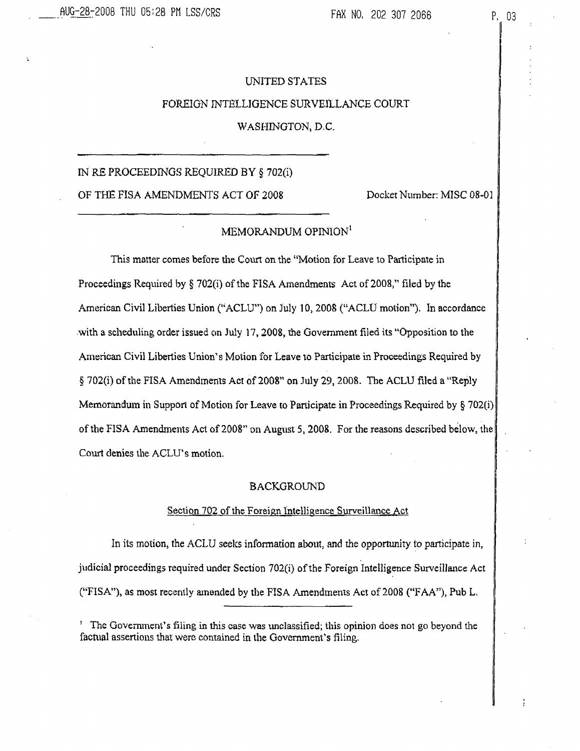# UNITED STATES FOREIGN INTELLIGENCE SURVEILLANCE COURT

# WASHINGTON, D.C.

# IN RE PROCEEDINGS REQUIRED BY § 702(i)

OF THE FISA AMENDMENTS ACT OF 2008 Docket Number: MISC 08-01

## MEMORANDUM OPINION<sup>1</sup>

This matter comes before the Court on the "Motion for Leave to Participate in Proceedings Required by  $\S$  702(i) of the FISA Amendments Act of 2008," filed by the American Civil Liberties Union ("ACLU") on July 10, 2008 ("ACLU motion"). In accordance with a scheduling order issued cm July 17, 2008, the Government filed its "Opposition to the American Civil Liberties Union's Motion for Leave to Participate in Proceedings Required by § 702(i) of the FISA Amendments Act of 2008" on July 29,2008. The ACLU filed a "Reply Memorandum in Support of Motion for Leave to Participate in Proceedings Required by  $\S 702(i)$ of the FISA Amendments Act of 2008" on August 5, 2008. For the reasons described below, the Court denies the ACLU's motion.

#### **BACKGROUND**

### Section 702 of the Foreign Intelligence Surveillance Act

In its motion, the ACLU seeks information about, and the opportunity to participate in, judicial proceedings required under Section 702(i) of the Foreign Intelligence Surveillance Act ("FISA"), as most recently amended by the FISA Amendments Act of 2008 ('TAA7'), Pub L.

' The Government's filing in this case was unclassified; this opinion does not go beyond the factual assertions that were contained in the Government's filing.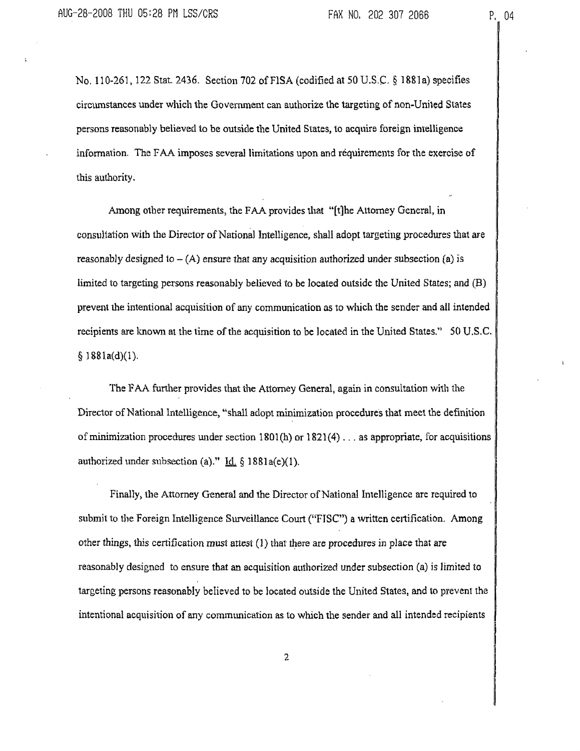No. 110-261,122 Stat. 2436. Section 702 ofFlSA (codified at 50 U.S.C. § 1881a) specifies circumstances under which the Government can authorize the targeting of non-United States persons reasonably believed to be outside the United States, to acquire foreign intelligence information. The FAA imposes several limitations upon and requirements for the exercise of this authority.

Among other requirements, the FAA provides that "[t]he Attorney General, in consultation with the Director of National Intelligence, shall adopt targeting procedures that are reasonably designed to  $-(A)$  ensure that any acquisition authorized under subsection (a) is limited to targeting persons reasonably believed to be located outside the United States; and (B) prevent the intentional acquisition of any communication as to which the sender and all intended recipients are known at the time of the acquisition to be located in the United States." 50 U.S.C.  $§ 1881a(d)(1).$ 

The FAA further provides that the Attorney General, again in consultation with the Director of National Intelligence, "shall adopt minimization procedures that meet the definition of minimization procedures under section 1801(h) or 1821(4) . . . as appropriate, for acquisitions authorized under subsection (a)." Id.  $\S$  1881a(e)(1).

Finally, the Attorney General and the Director of National Intelligence are required to submit to the Foreign Intelligence Surveillance Court ("FISC") a written certification. Among other things, this certification must attest (1) that there are procedures in place that are reasonably designed to ensure that an acquisition authorized under subsection (a) is limited to targeting persons reasonably believed to be located outside the United States, and to prevent the intentional acquisition of any communication as to which the sender and all intended recipients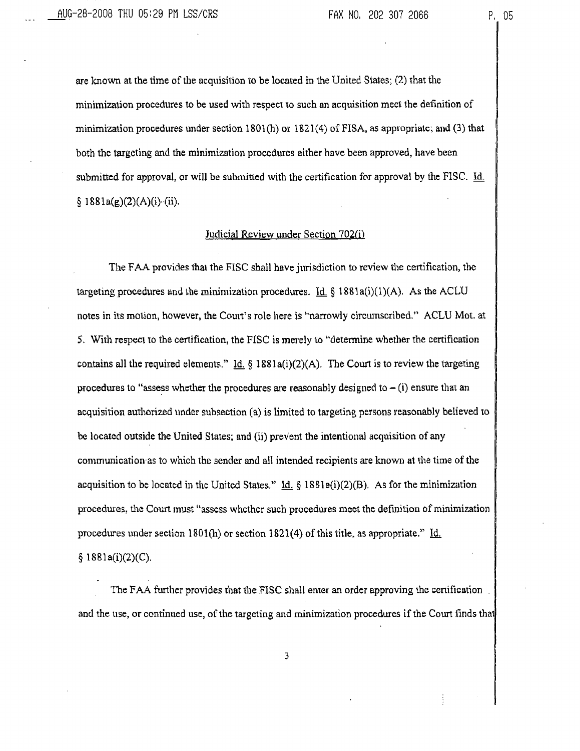are known at the time of the acquisition to be located in the United States; (2) that the minimization procedures to be used with respect to such an acquisition meet the definition of minimization procedures under section  $1801(h)$  or  $1821(4)$  of FISA, as appropriate; and (3) that both the targeting and the minimization procedures either have been approved, have been submitted for approval, or will be submitted with the certification for approval by the FISC. Id.  $§ 1881a(g)(2)(A)(i)-(ii).$ 

#### Judicial Review under Section 702(i)

The FAA provides that the FISC shall have jurisdiction to review the certification, the targeting procedures and the minimization procedures. Id § 1881a(i)(1)(A). As the ACLU notes in its motion, however, the Court's role here is "narrowly circumscribed." ACLU Mot. at 5. With respect to the certification, the FISC is merely to "determine whether the certification contains all the required elements." Id.  $\S$  1881a(i)(2)(A). The Court is to review the targeting procedures to "assess whether the procedures are reasonably designed to  $-$  (i) ensure that an acquisition authorized under subsection (a) is limited to targeting persons reasonably believed to be located outside the United States; and (ii) prevent the intentional acquisition of any communication as to which the sender and all intended recipients are known at the time of the acquisition to be located in the United States." Id. § 1881a(i)(2)(B). As for the minimization procedures, the Court must "assess whether such procedures meet the definition of minimization procedures under section 1801(h) or section 1821(4) of this title, as appropriate." Id.  $§ 1881a(i)(2)(C).$ 

The FAA further provides that the FISC shall enter an order approving the certification . and the use, or continued use, of the targeting and minimization procedures if the Court finds that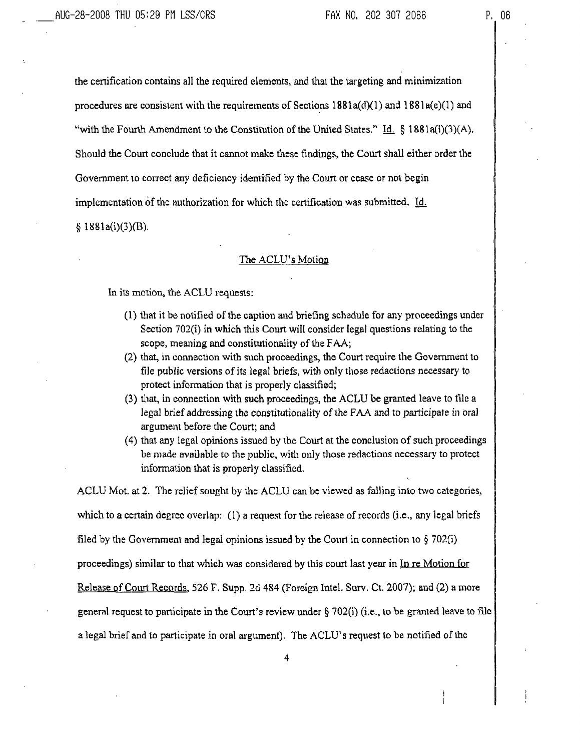AUG-28-2008 THU 05:29 PN LSS/CRS

the certification contains all the required elements, and that the targeting and minimization procedures are consistent with the requirements of Sections  $1881a(d)(1)$  and  $1881a(e)(1)$  and "with the Fourth Amendment to the Constitution of the United States." Id.  $\S$  1881a(i)(3)(A), Should the Court conclude that it cannot make these findings, the Court shall either order the Government to correct any deficiency identified by the Court or cease or not begin implementation of the authorization for which the certification was submitted.  $\underline{Id}$ .  $§ 1881a(i)(3)(B).$ 

#### The ACLU's Motion

In its motion, the ACLU requests:

- (1) that it be notified of the caption and briefing schedule for any proceedings under Section 702(i) in which this Court will consider legal questions relating to the scope, meaning and constitutionality of the FAA;
- (2) that, in connection with such proceedings, the Court require the Government to file public versions of its legal briefs, with only those redactions necessary to protect information that is properly classified;
- (3) that, in connection with such proceedings, the ACLU be granted leave to file a legal brief addressing the constitutionality of the FAA and to participate in oral argument before the Court; and
- (4) that any legal opinions issued by the Court at the conclusion of such proceedings be made available to the public, with only those redactions necessary to protect information that is properly classified.

ACLU Mot. at 2. The relief sought by the ACLU can be viewed as falling into two categories, which to a certain degree overlap: (1) a request for the release of records (i.e., any legal briefs filed by the Government and legal opinions issued by the Court in connection to  $\S 702(i)$ proceedings) similar to that which was considered by this court last year in In. re Motion for Release of Court Records. 526 F. Supp, 2d 484 (Foreign Intel. Surv. Ct. 2007); and (2) a more general request to participate in the Court's review under  $\S$  702(i) (i.e., to be granted leave to file a legal brief and to participate in ora! argument). The ACLU's request to be notified of the

4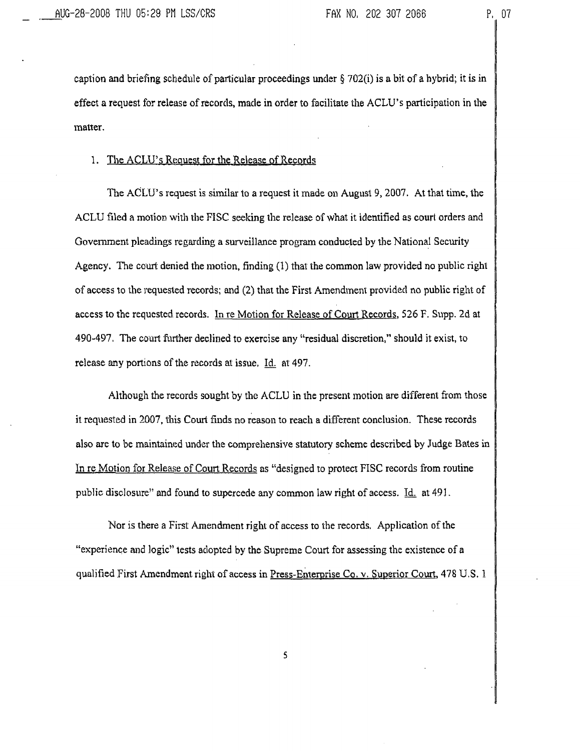caption and briefing schedule of particular proceedings under § 702(i) is a bit of a hybrid; it is in effect a request for release of records, made in order to facilitate the ACLU's participation in the matter.

# 1. The ACLU's Request for the Release of Records

The ACLU's request is similar to a request it made on August 9, 2007. At that time, the ACLU filed a motion with the FISC seeking the release of what it identified as court orders and Government pleadings regarding a surveillance program conducted by the National Security Agency. The court denied the motion, finding (1) that the common law provided no public right of access to the requested records; and (2) that the First Amendment provided no public right of access to the requested records. In re Motion for Release of Court Records, 526 F. Supp. 2d at 490-497, The court further declined to exercise any "residual discretion," should it exist, to release any portions of the records at issue, Id. at 497.

Although the records sought by the ACLU in the present motion are different from those it requested in 2007, this Court finds no reason to reach a different conclusion. These records also are to be maintained under the comprehensive statutory scheme described by Judge Bates in In re Motion for Release of Court Records as "designed to protect FISC records from routine public disclosure" and found to supercede any common law right of access. Id, at 491.

Nor is there a First Amendment right of access to the records, Application of the "experience and logic" tests adopted by the Supreme Court for assessing the existence of a qualified First Amendment right of access in Press-Enterprise Co. v. Superior Court, 478 U.S. 1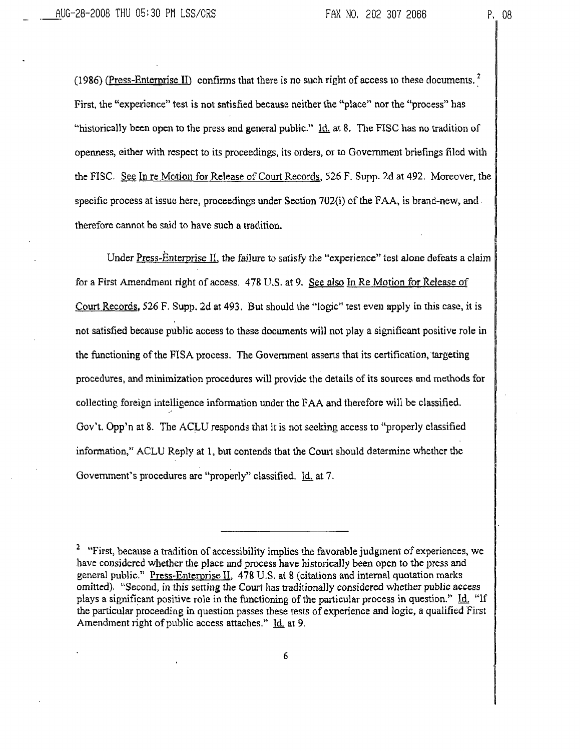(1986) (Press-Enterprise II) confirms that there is no such right of access to these documents.<sup>2</sup> First, the "experience" lest is not satisfied because neither the "place" nor the "process" has "historically been open to the press and general public." Id. at 8. The FISC has no tradition of openness, either with respect to its proceedings, its orders, or to Government briefings filed with the FISC. See In re Motion for Release of Court Records, 526 F. Supp. 2d at 492. Moreover, the specific process at issue here, proceedings under Section 702(i) of the FAA, is brand-new, and therefore cannot be said to have such a tradition.

Under Press-Enterprise II, the failure to satisfy the "experience" test alone defeats a claim for a First Amendment right of access. 478 U.S. at 9. See also In. Re Motion for Release of Court Records. 526 F. Supp. 2d at 493. But should the "logic" test even apply in this case, it is not satisfied because public access to these documents will not play a significant positive role in the functioning of the FISA process. The Government asserts that its certification, targeting procedures, and minimization procedures will provide the details of its sources and methods for collecting foreign intelligence information under the FAA and therefore will be classified. Gov't. Opp'n at 8. The ACLU responds that it is not seeking access to "properly classified information," ACLU Reply at 1, but contends that the Court should determine whether the Government's procedures are "properly" classified. Id. at 7.

<sup>&</sup>lt;sup>2</sup> "First, because a tradition of accessibility implies the favorable judgment of experiences, we have considered whether die place and process have historically been open to the press and general public." Press-Enterprise II. 478 U.S. at 8 (citations and internal quotation marks omitted). "Second, in this setting die Court has traditionally considered whether public access plays a significant positive role in the functioning of the particular process in question." Id. "If the particular proceeding in question passes these tests of experience and logic, a qualified First Amendment right of public access attaches." Id. at 9.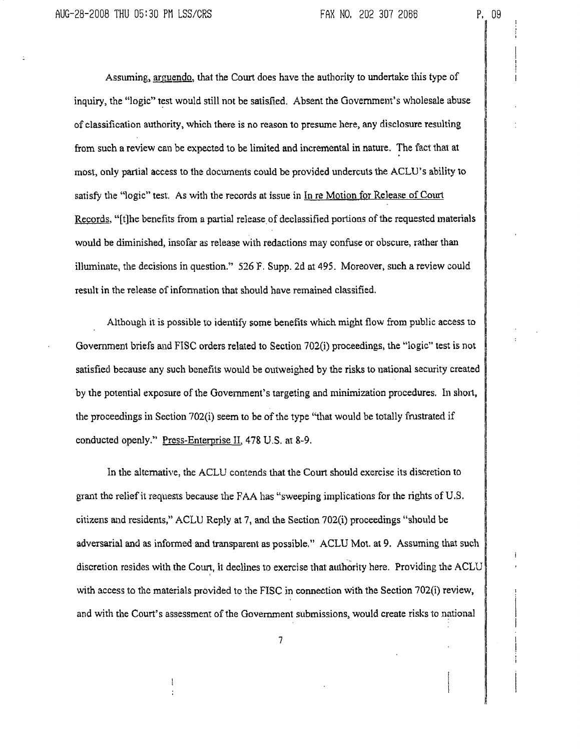Assuming, arguendo, that the Court does have the authority to undertake this type of inquiry, the "logic" test would still not be satisfied. Absent the Government's wholesale abuse of classification authority, which there is no reason to presume here, any disclosure resulting from such a review can be expected to be limited and incremental in nature. The fact that at most, only partial access to the documents could be provided undercuts the ACLU's ability to satisfy the "logic" test. As with the records at issue in  $In$  re Motion for Release of Court Records. "[t]he benefits from a partial release of declassified portions of the requested materials would be diminished, insofar as release with redactions may confuse or obscure, rather than illuminate, the decisions in question."  $526$  F. Supp. 2d at 495. Moreover, such a review could result in the release of information that should have remained classified.

Although it is possible to identify some benefits which might flow from public access to Government briefs and FISC orders related to Section 702(i) proceedings, the "logic" test is not satisfied because any such benefits would be outweighed by the risks to national security created by the potential exposure of the Government's targeting and minimization procedures. In short, the proceedings in Section 702(i) seem to be of the type "that would be totally frustrated if conducted openly." Press-Enterprise II, 478 U.S. at 8-9.

In the alternative, the ACLU contends that the Court should exercise its discretion to grant the relief it requests because the FAA has "sweeping implications for the rights of U.S. citizens and residents," ACLU Reply at 7, and the Section 702(i) proceedings "should be adversarial and as informed and transparent as possible," ACLU Mot. at 9. Assuming that such discretion resides with the Court, it declines to exercise that authority here. Providing the ACLU with access to the materials provided to the FISC in connection with the Section 702(i) review, and with the Court's assessment of the Government submissions, would create risks to national

7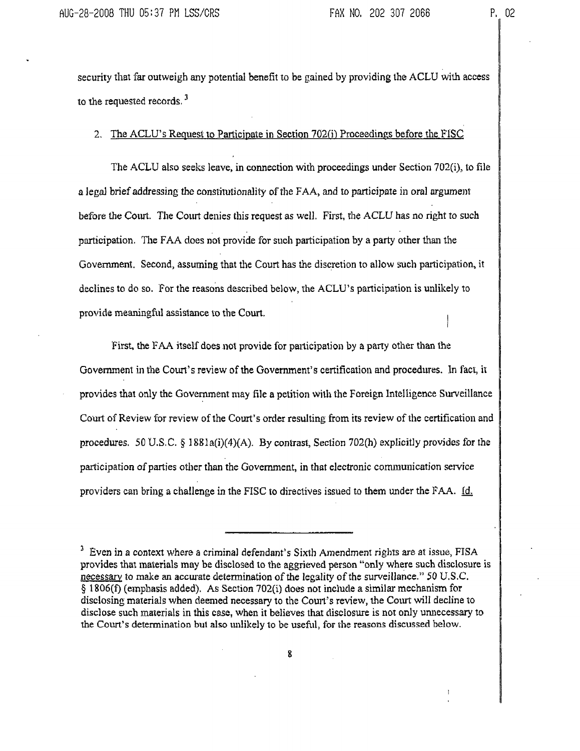i

security that far outweigh any potential benefit to be gained by providing the ACLU with access to the requested records.<sup>3</sup>

2. The ACLU's Request to Participate in Section 702(i) Proceedings before the FISC

The ACLU also seeks leave, in connection with proceedings under Section 702(i), to file a legal brief addressing the constitutionality of the FAA, and to participate in oral argument before the Court. The Court denies this request as well. First, the ACLU has no right to such participation. The FAA does not provide for such participation by a party other than the Government. Second, assuming that the Court has the discretion to allow such participation, it declines to do so. For the reasons described below, the ACLU's participation is unlikely to provide meaningful assistance to the Court.

First, the FAA itself does not provide for participation by a party other than the Government in the Court's review of the Government's certification and procedures. In fact, it provides that only the Government may file a petition with the Foreign Intelligence Surveillance Court of Review for review of the Court's order resulting from its review of the certification and procedures. 50 U.S.C. § 1881a(i)(4)(A). By contrast, Section 702(h) explicitly provides for the participation of parlies other than the Government, in that electronic communication service providers can bring a challenge in the FISC to directives issued to them under the FAA.  $\underline{Id}$ .

<sup>&</sup>lt;sup>3</sup> Even in a context where a criminal defendant's Sixth Amendment rights are at issue, FISA provides that materials may be disclosed to the aggrieved person "only where such disclosure is necessary to make an accurate determination of the legality of the surveillance." 50 U.S.C. § 1806(f) (emphasis added). As Section 702(i) does not include a similar mechanism for disclosing materials when deemed necessary to the Court's review, the Court will decline to disclose such materials in this case, when it believes that disclosure is not only unnecessary to the Court's determination but also unlikely to be useful, for the reasons discussed below.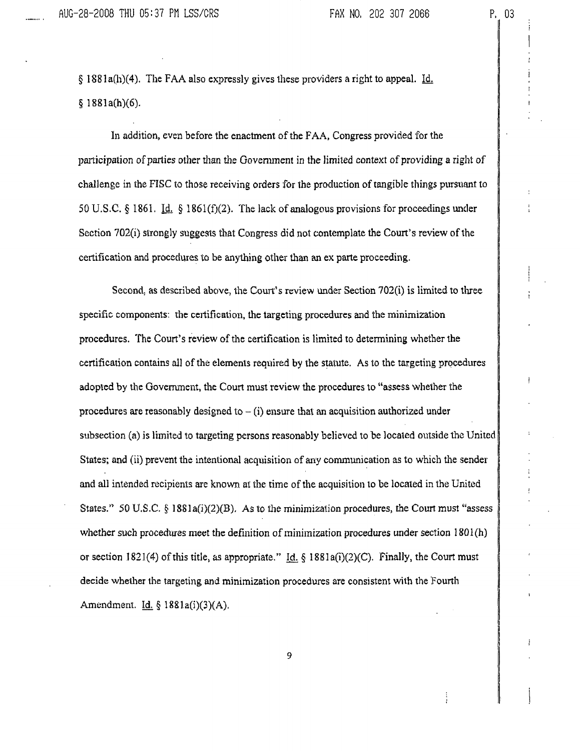§ 1881a(h)(4). The FAA also expressly gives these providers a right to appeal. Id. § 1881a(h)(6).

In addition, even before the enactment of the FAA, Congress provided for the participation of parties other than the Government in the limited context of providing a right of challenge in the FISC to those receiving orders for the production of tangible things pursuant to 50 U.S.C. § 1861. Id. § 1861(f)(2). The lack of analogous provisions for proceedings under Section 702(i) strongly suggests that Congress did not contemplate the Court's review of the certification and procedures to be anything other than an ex parte proceeding.

Second, as described above, the Court's review under Section 702(i) is limited to three specific components: the certification, the targeting procedures and the minimization procedures. The Court's review of the certification is limited to determining whether the certification contains all of the elements required by the statute. As to the targeting procedures adopted by the Government, the Court must review the procedures to "assess whether the procedures are reasonably designed to  $-(i)$  ensure that an acquisition authorized under subsection, (a) is limited to targeting persons reasonably believed to be located outside the United States; and (ii) prevent the intentional acquisition of any communication as to which the sender and all intended recipients are known, at the time of the acquisition to be located in the United States." 50 U.S.C. § 1881a(i)(2)(B). As to the minimization procedures, the Court must "assess whether such procedures meet the definition of minimization procedures under section 1801(h) or section 1821(4) of this title, as appropriate." Id.  $\S$  1881a(i)(2)(C). Finally, the Court must decide whether the targeting and minimization procedures are consistent with the Fourth Amendment. Id.  $\S$  1881a(i)(3)(A).

9